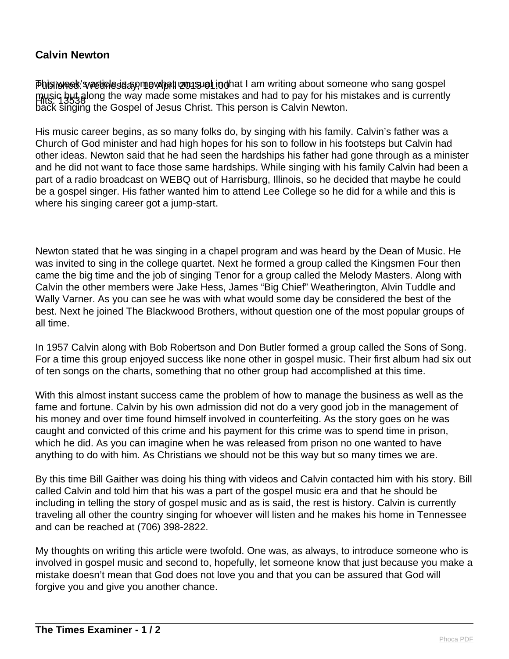## **Calvin Newton**

Phis iweek's wetinle da ap mewhat unusueh in that I am writing about someone who sang gospel music but along the way made some mistakes and had to pay for his mistakes and is currently<br>Hits: 13538 back singing the Gospel of Jesus Christ. This person is Calvin Newton.

His music career begins, as so many folks do, by singing with his family. Calvin's father was a Church of God minister and had high hopes for his son to follow in his footsteps but Calvin had other ideas. Newton said that he had seen the hardships his father had gone through as a minister and he did not want to face those same hardships. While singing with his family Calvin had been a part of a radio broadcast on WEBQ out of Harrisburg, Illinois, so he decided that maybe he could be a gospel singer. His father wanted him to attend Lee College so he did for a while and this is where his singing career got a jump-start.

Newton stated that he was singing in a chapel program and was heard by the Dean of Music. He was invited to sing in the college quartet. Next he formed a group called the Kingsmen Four then came the big time and the job of singing Tenor for a group called the Melody Masters. Along with Calvin the other members were Jake Hess, James "Big Chief" Weatherington, Alvin Tuddle and Wally Varner. As you can see he was with what would some day be considered the best of the best. Next he joined The Blackwood Brothers, without question one of the most popular groups of all time.

In 1957 Calvin along with Bob Robertson and Don Butler formed a group called the Sons of Song. For a time this group enjoyed success like none other in gospel music. Their first album had six out of ten songs on the charts, something that no other group had accomplished at this time.

With this almost instant success came the problem of how to manage the business as well as the fame and fortune. Calvin by his own admission did not do a very good job in the management of his money and over time found himself involved in counterfeiting. As the story goes on he was caught and convicted of this crime and his payment for this crime was to spend time in prison, which he did. As you can imagine when he was released from prison no one wanted to have anything to do with him. As Christians we should not be this way but so many times we are.

By this time Bill Gaither was doing his thing with videos and Calvin contacted him with his story. Bill called Calvin and told him that his was a part of the gospel music era and that he should be including in telling the story of gospel music and as is said, the rest is history. Calvin is currently traveling all other the country singing for whoever will listen and he makes his home in Tennessee and can be reached at (706) 398-2822.

My thoughts on writing this article were twofold. One was, as always, to introduce someone who is involved in gospel music and second to, hopefully, let someone know that just because you make a mistake doesn't mean that God does not love you and that you can be assured that God will forgive you and give you another chance.